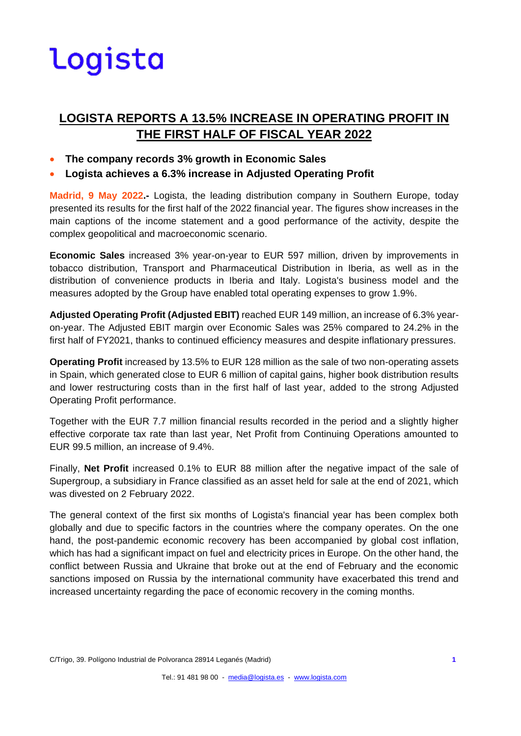### **LOGISTA REPORTS A 13.5% INCREASE IN OPERATING PROFIT IN THE FIRST HALF OF FISCAL YEAR 2022**

- **The company records 3% growth in Economic Sales**
- **Logista achieves a 6.3% increase in Adjusted Operating Profit**

**Madrid, 9 May 2022.-** Logista, the leading distribution company in Southern Europe, today presented its results for the first half of the 2022 financial year. The figures show increases in the main captions of the income statement and a good performance of the activity, despite the complex geopolitical and macroeconomic scenario.

**Economic Sales** increased 3% year-on-year to EUR 597 million, driven by improvements in tobacco distribution, Transport and Pharmaceutical Distribution in Iberia, as well as in the distribution of convenience products in Iberia and Italy. Logista's business model and the measures adopted by the Group have enabled total operating expenses to grow 1.9%.

**Adjusted Operating Profit (Adjusted EBIT)** reached EUR 149 million, an increase of 6.3% yearon-year. The Adjusted EBIT margin over Economic Sales was 25% compared to 24.2% in the first half of FY2021, thanks to continued efficiency measures and despite inflationary pressures.

**Operating Profit** increased by 13.5% to EUR 128 million as the sale of two non-operating assets in Spain, which generated close to EUR 6 million of capital gains, higher book distribution results and lower restructuring costs than in the first half of last year, added to the strong Adjusted Operating Profit performance.

Together with the EUR 7.7 million financial results recorded in the period and a slightly higher effective corporate tax rate than last year, Net Profit from Continuing Operations amounted to EUR 99.5 million, an increase of 9.4%.

Finally, **Net Profit** increased 0.1% to EUR 88 million after the negative impact of the sale of Supergroup, a subsidiary in France classified as an asset held for sale at the end of 2021, which was divested on 2 February 2022.

The general context of the first six months of Logista's financial year has been complex both globally and due to specific factors in the countries where the company operates. On the one hand, the post-pandemic economic recovery has been accompanied by global cost inflation, which has had a significant impact on fuel and electricity prices in Europe. On the other hand, the conflict between Russia and Ukraine that broke out at the end of February and the economic sanctions imposed on Russia by the international community have exacerbated this trend and increased uncertainty regarding the pace of economic recovery in the coming months.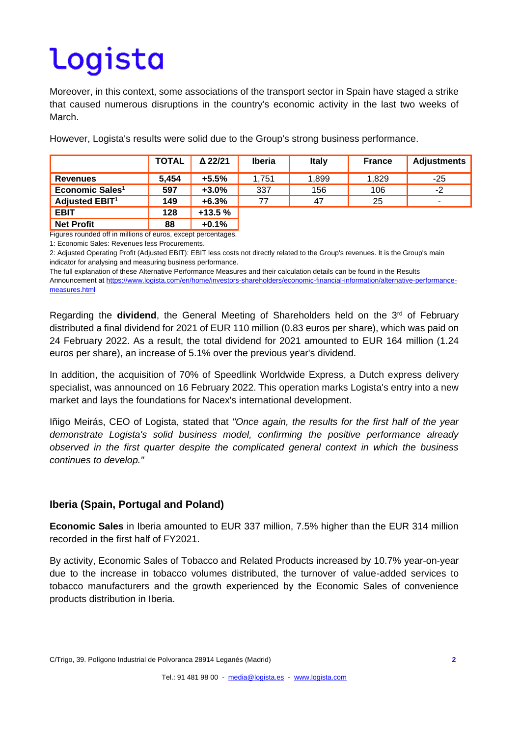Moreover, in this context, some associations of the transport sector in Spain have staged a strike that caused numerous disruptions in the country's economic activity in the last two weeks of March.

|                             | <b>TOTAL</b> | $\Delta$ 22/21 | <b>Iberia</b> | <b>Italy</b> | <b>France</b> | <b>Adjustments</b> |
|-----------------------------|--------------|----------------|---------------|--------------|---------------|--------------------|
| <b>Revenues</b>             | 5,454        | $+5.5%$        | 1.751         | 1,899        | 1,829         | $-25$              |
| Economic Sales <sup>1</sup> | 597          | $+3.0%$        | 337           | 156          | 106           | $-2$               |
| Adjusted EBIT <sup>1</sup>  | 149          | $+6.3%$        | 77            | 47           | 25            | ۰                  |
| <b>EBIT</b>                 | 128          | $+13.5%$       |               |              |               |                    |
| <b>Net Profit</b>           | 88           | $+0.1%$        |               |              |               |                    |

However, Logista's results were solid due to the Group's strong business performance.

Figures rounded off in millions of euros, except percentages.

1: Economic Sales: Revenues less Procurements.

2: Adjusted Operating Profit (Adjusted EBIT): EBIT less costs not directly related to the Group's revenues. It is the Group's main indicator for analysing and measuring business performance.

The full explanation of these Alternative Performance Measures and their calculation details can be found in the Results

Announcement a[t https://www.logista.com/en/home/investors-shareholders/economic-financial-information/alternative-performance](https://www.logista.com/en/home/investors-shareholders/economic-financial-information/alternative-performance-measures.html)[measures.html](https://www.logista.com/en/home/investors-shareholders/economic-financial-information/alternative-performance-measures.html)

Regarding the **dividend**, the General Meeting of Shareholders held on the 3rd of February distributed a final dividend for 2021 of EUR 110 million (0.83 euros per share), which was paid on 24 February 2022. As a result, the total dividend for 2021 amounted to EUR 164 million (1.24 euros per share), an increase of 5.1% over the previous year's dividend.

In addition, the acquisition of 70% of Speedlink Worldwide Express, a Dutch express delivery specialist, was announced on 16 February 2022. This operation marks Logista's entry into a new market and lays the foundations for Nacex's international development.

Iñigo Meirás, CEO of Logista, stated that *"Once again, the results for the first half of the year demonstrate Logista's solid business model, confirming the positive performance already observed in the first quarter despite the complicated general context in which the business continues to develop."*

### **Iberia (Spain, Portugal and Poland)**

**Economic Sales** in Iberia amounted to EUR 337 million, 7.5% higher than the EUR 314 million recorded in the first half of FY2021.

By activity, Economic Sales of Tobacco and Related Products increased by 10.7% year-on-year due to the increase in tobacco volumes distributed, the turnover of value-added services to tobacco manufacturers and the growth experienced by the Economic Sales of convenience products distribution in Iberia.

C/Trigo, 39. Polígono Industrial de Polvoranca 28914 Leganés (Madrid) **2**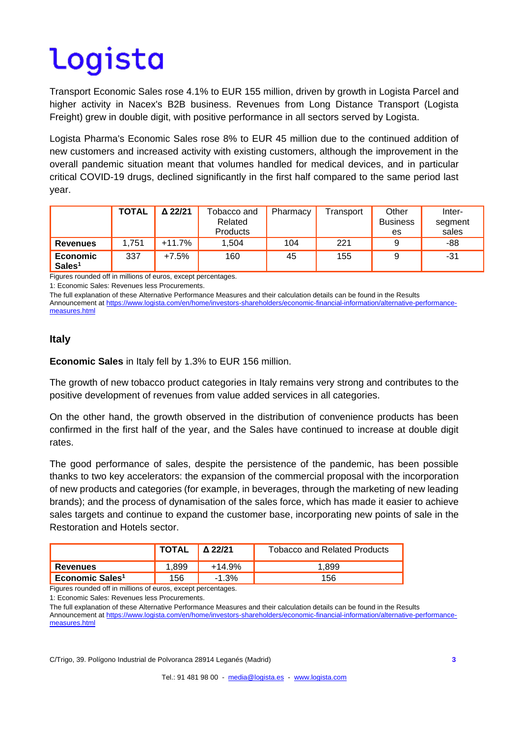Transport Economic Sales rose 4.1% to EUR 155 million, driven by growth in Logista Parcel and higher activity in Nacex's B2B business. Revenues from Long Distance Transport (Logista Freight) grew in double digit, with positive performance in all sectors served by Logista.

Logista Pharma's Economic Sales rose 8% to EUR 45 million due to the continued addition of new customers and increased activity with existing customers, although the improvement in the overall pandemic situation meant that volumes handled for medical devices, and in particular critical COVID-19 drugs, declined significantly in the first half compared to the same period last year.

|                                       | <b>TOTAL</b> | Δ 22/21 | Tobacco and<br>Related<br><b>Products</b> | Pharmacy | Transport | Other<br><b>Business</b><br>es | Inter-<br>segment<br>sales |
|---------------------------------------|--------------|---------|-------------------------------------------|----------|-----------|--------------------------------|----------------------------|
| <b>Revenues</b>                       | 1.751        | +11.7%  | 1.504                                     | 104      | 221       | 9                              | -88                        |
| <b>Economic</b><br>Sales <sup>1</sup> | 337          | $+7.5%$ | 160                                       | 45       | 155       | 9                              | -31                        |

Figures rounded off in millions of euros, except percentages.

1: Economic Sales: Revenues less Procurements.

The full explanation of these Alternative Performance Measures and their calculation details can be found in the Results

Announcement a[t https://www.logista.com/en/home/investors-shareholders/economic-financial-information/alternative-performance](https://www.logista.com/en/home/investors-shareholders/economic-financial-information/alternative-performance-measures.html)[measures.html](https://www.logista.com/en/home/investors-shareholders/economic-financial-information/alternative-performance-measures.html)

#### **Italy**

**Economic Sales** in Italy fell by 1.3% to EUR 156 million.

The growth of new tobacco product categories in Italy remains very strong and contributes to the positive development of revenues from value added services in all categories.

On the other hand, the growth observed in the distribution of convenience products has been confirmed in the first half of the year, and the Sales have continued to increase at double digit rates.

The good performance of sales, despite the persistence of the pandemic, has been possible thanks to two key accelerators: the expansion of the commercial proposal with the incorporation of new products and categories (for example, in beverages, through the marketing of new leading brands); and the process of dynamisation of the sales force, which has made it easier to achieve sales targets and continue to expand the customer base, incorporating new points of sale in the Restoration and Hotels sector.

|                             | <b>TOTAL</b> | Δ 22/21 | <b>Tobacco and Related Products</b> |
|-----------------------------|--------------|---------|-------------------------------------|
| <b>Revenues</b>             | .899         | +14.9%  | .899                                |
| Economic Sales <sup>1</sup> | 156          | $-1.3%$ | 156                                 |

Figures rounded off in millions of euros, except percentages.

1: Economic Sales: Revenues less Procurements.

The full explanation of these Alternative Performance Measures and their calculation details can be found in the Results Announcement a[t https://www.logista.com/en/home/investors-shareholders/economic-financial-information/alternative-performance](https://www.logista.com/en/home/investors-shareholders/economic-financial-information/alternative-performance-measures.html)[measures.html](https://www.logista.com/en/home/investors-shareholders/economic-financial-information/alternative-performance-measures.html)

C/Trigo, 39. Polígono Industrial de Polvoranca 28914 Leganés (Madrid) **3**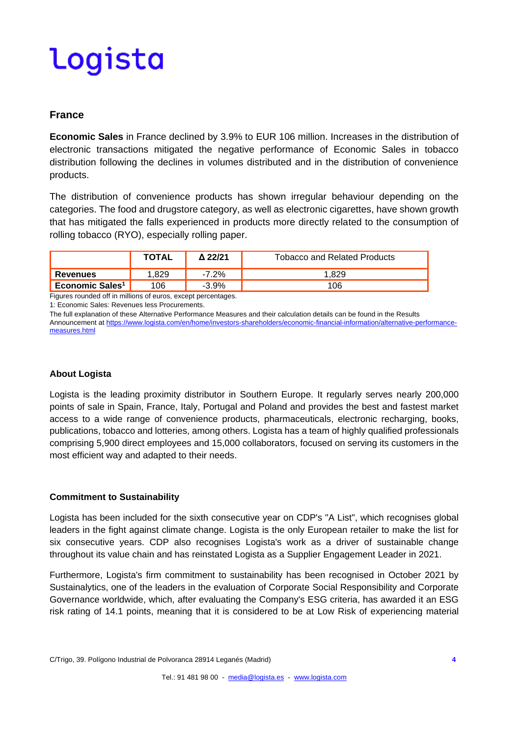#### **France**

**Economic Sales** in France declined by 3.9% to EUR 106 million. Increases in the distribution of electronic transactions mitigated the negative performance of Economic Sales in tobacco distribution following the declines in volumes distributed and in the distribution of convenience products.

The distribution of convenience products has shown irregular behaviour depending on the categories. The food and drugstore category, as well as electronic cigarettes, have shown growth that has mitigated the falls experienced in products more directly related to the consumption of rolling tobacco (RYO), especially rolling paper.

|                             | <b>TOTAL</b> | Δ 22/21 | <b>Tobacco and Related Products</b> |
|-----------------------------|--------------|---------|-------------------------------------|
| <b>Revenues</b>             | .829         | 7.2%    | .829                                |
| Economic Sales <sup>1</sup> | .06          | $-3.9%$ | 106                                 |

Figures rounded off in millions of euros, except percentages.

1: Economic Sales: Revenues less Procurements.

The full explanation of these Alternative Performance Measures and their calculation details can be found in the Results Announcement a[t https://www.logista.com/en/home/investors-shareholders/economic-financial-information/alternative-performance](https://www.logista.com/en/home/investors-shareholders/economic-financial-information/alternative-performance-measures.html)[measures.html](https://www.logista.com/en/home/investors-shareholders/economic-financial-information/alternative-performance-measures.html)

#### **About Logista**

Logista is the leading proximity distributor in Southern Europe. It regularly serves nearly 200,000 points of sale in Spain, France, Italy, Portugal and Poland and provides the best and fastest market access to a wide range of convenience products, pharmaceuticals, electronic recharging, books, publications, tobacco and lotteries, among others. Logista has a team of highly qualified professionals comprising 5,900 direct employees and 15,000 collaborators, focused on serving its customers in the most efficient way and adapted to their needs.

#### **Commitment to Sustainability**

Logista has been included for the sixth consecutive year on CDP's "A List", which recognises global leaders in the fight against climate change. Logista is the only European retailer to make the list for six consecutive years. CDP also recognises Logista's work as a driver of sustainable change throughout its value chain and has reinstated Logista as a Supplier Engagement Leader in 2021.

Furthermore, Logista's firm commitment to sustainability has been recognised in October 2021 by Sustainalytics, one of the leaders in the evaluation of Corporate Social Responsibility and Corporate Governance worldwide, which, after evaluating the Company's ESG criteria, has awarded it an ESG risk rating of 14.1 points, meaning that it is considered to be at Low Risk of experiencing material

C/Trigo, 39. Polígono Industrial de Polvoranca 28914 Leganés (Madrid) **4**